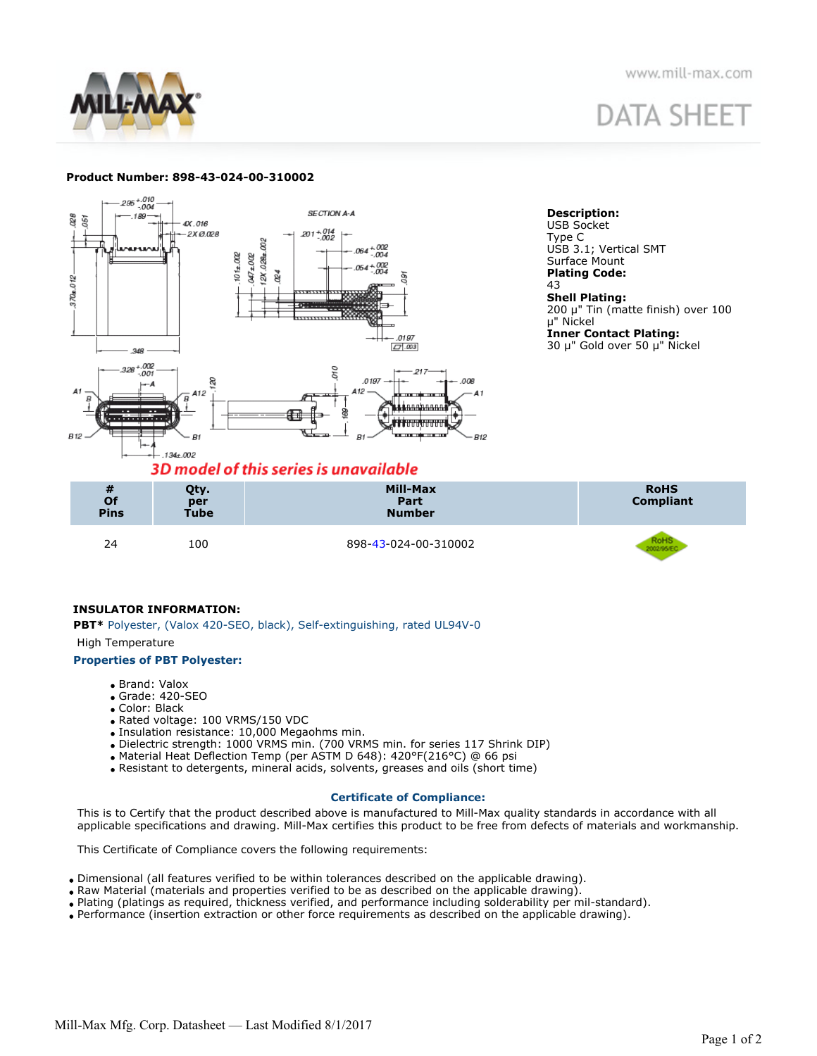

www.mill-max.com

# **DATA SHEET**

## **Product Number: 898-43-024-00-310002**





# **INSULATOR INFORMATION:**

**PBT\*** Polyester, (Valox 420-SEO, black), Self-extinguishing, rated UL94V-0

#### High Temperature

## **Properties of PBT Polyester:**

- Brand: Valox
- Grade: 420-SEO
- Color: Black
- Rated voltage: 100 VRMS/150 VDC
- Insulation resistance: 10,000 Megaohms min.
- Dielectric strength: 1000 VRMS min. (700 VRMS min. for series 117 Shrink DIP)
- Material Heat Deflection Temp (per ASTM D 648): 420°F(216°C) @ 66 psi
- Resistant to detergents, mineral acids, solvents, greases and oils (short time)

## **Certificate of Compliance:**

This is to Certify that the product described above is manufactured to Mill-Max quality standards in accordance with all applicable specifications and drawing. Mill-Max certifies this product to be free from defects of materials and workmanship.

This Certificate of Compliance covers the following requirements:

- Dimensional (all features verified to be within tolerances described on the applicable drawing).
- Raw Material (materials and properties verified to be as described on the applicable drawing).
- Plating (platings as required, thickness verified, and performance including solderability per mil-standard).
- Performance (insertion extraction or other force requirements as described on the applicable drawing).